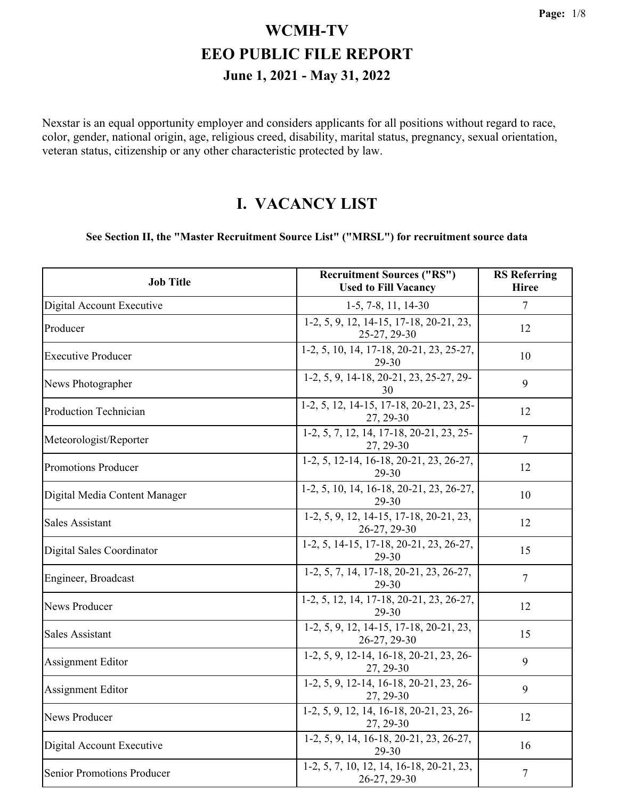Nexstar is an equal opportunity employer and considers applicants for all positions without regard to race, color, gender, national origin, age, religious creed, disability, marital status, pregnancy, sexual orientation, veteran status, citizenship or any other characteristic protected by law.

#### **I. VACANCY LIST**

#### **See Section II, the "Master Recruitment Source List" ("MRSL") for recruitment source data**

| <b>Job Title</b>                  | <b>Recruitment Sources ("RS")</b><br><b>Used to Fill Vacancy</b> | <b>RS</b> Referring<br><b>Hiree</b> |
|-----------------------------------|------------------------------------------------------------------|-------------------------------------|
| Digital Account Executive         | 1-5, 7-8, 11, 14-30                                              | $\overline{7}$                      |
| Producer                          | 1-2, 5, 9, 12, 14-15, 17-18, 20-21, 23,<br>25-27, 29-30          | 12                                  |
| <b>Executive Producer</b>         | 1-2, 5, 10, 14, 17-18, 20-21, 23, 25-27,<br>29-30                | 10                                  |
| News Photographer                 | 1-2, 5, 9, 14-18, 20-21, 23, 25-27, 29-<br>30                    | 9                                   |
| Production Technician             | 1-2, 5, 12, 14-15, 17-18, 20-21, 23, 25-<br>27, 29-30            | 12                                  |
| Meteorologist/Reporter            | 1-2, 5, 7, 12, 14, 17-18, 20-21, 23, 25-<br>27, 29-30            | 7                                   |
| Promotions Producer               | 1-2, 5, 12-14, 16-18, 20-21, 23, 26-27,<br>29-30                 | 12                                  |
| Digital Media Content Manager     | 1-2, 5, 10, 14, 16-18, 20-21, 23, 26-27,<br>29-30                | 10                                  |
| <b>Sales Assistant</b>            | 1-2, 5, 9, 12, 14-15, 17-18, 20-21, 23,<br>26-27, 29-30          | 12                                  |
| Digital Sales Coordinator         | 1-2, 5, 14-15, 17-18, 20-21, 23, 26-27,<br>29-30                 | 15                                  |
| Engineer, Broadcast               | 1-2, 5, 7, 14, 17-18, 20-21, 23, 26-27,<br>29-30                 | $\overline{7}$                      |
| <b>News Producer</b>              | 1-2, 5, 12, 14, 17-18, 20-21, 23, 26-27,<br>29-30                | 12                                  |
| <b>Sales Assistant</b>            | 1-2, 5, 9, 12, 14-15, 17-18, 20-21, 23,<br>26-27, 29-30          | 15                                  |
| Assignment Editor                 | 1-2, 5, 9, 12-14, 16-18, 20-21, 23, 26-<br>27, 29-30             | 9                                   |
| Assignment Editor                 | 1-2, 5, 9, 12-14, 16-18, 20-21, 23, 26-<br>27, 29-30             | 9                                   |
| <b>News Producer</b>              | 1-2, 5, 9, 12, 14, 16-18, 20-21, 23, 26-<br>27, 29-30            | 12                                  |
| Digital Account Executive         | 1-2, 5, 9, 14, 16-18, 20-21, 23, 26-27,<br>29-30                 | 16                                  |
| <b>Senior Promotions Producer</b> | 1-2, 5, 7, 10, 12, 14, 16-18, 20-21, 23,<br>26-27, 29-30         | $\boldsymbol{7}$                    |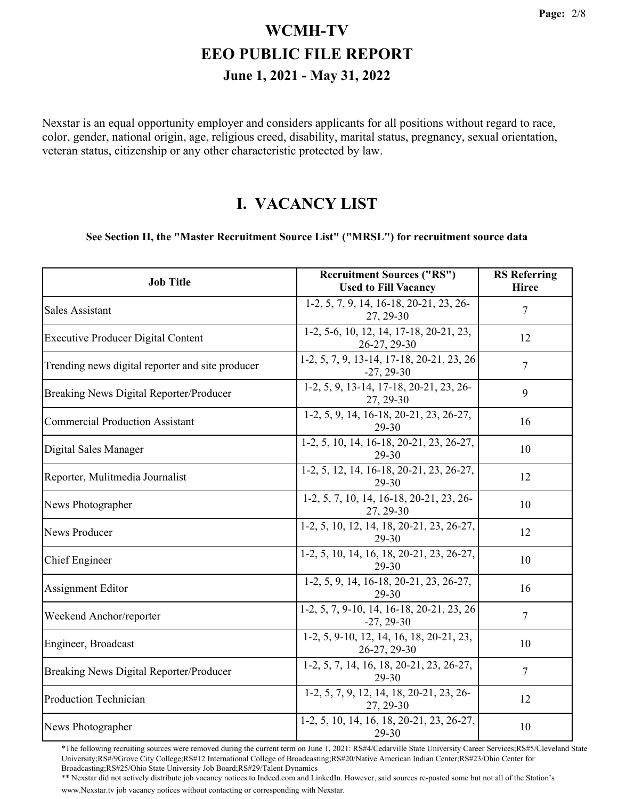Nexstar is an equal opportunity employer and considers applicants for all positions without regard to race, color, gender, national origin, age, religious creed, disability, marital status, pregnancy, sexual orientation, veteran status, citizenship or any other characteristic protected by law.

#### **I. VACANCY LIST**

#### **See Section II, the "Master Recruitment Source List" ("MRSL") for recruitment source data**

| <b>Job Title</b>                                 | <b>Recruitment Sources ("RS")</b><br><b>Used to Fill Vacancy</b> | <b>RS</b> Referring<br><b>Hiree</b> |
|--------------------------------------------------|------------------------------------------------------------------|-------------------------------------|
| <b>Sales Assistant</b>                           | 1-2, 5, 7, 9, 14, 16-18, 20-21, 23, 26-<br>27, 29-30             | 7                                   |
| <b>Executive Producer Digital Content</b>        | 1-2, 5-6, 10, 12, 14, 17-18, 20-21, 23,<br>26-27, 29-30          | 12                                  |
| Trending news digital reporter and site producer | 1-2, 5, 7, 9, 13-14, 17-18, 20-21, 23, 26<br>$-27, 29-30$        | $\overline{7}$                      |
| Breaking News Digital Reporter/Producer          | 1-2, 5, 9, 13-14, 17-18, 20-21, 23, 26-<br>27, 29-30             | 9                                   |
| <b>Commercial Production Assistant</b>           | 1-2, 5, 9, 14, 16-18, 20-21, 23, 26-27,<br>29-30                 | 16                                  |
| Digital Sales Manager                            | 1-2, 5, 10, 14, 16-18, 20-21, 23, 26-27,<br>29-30                | 10                                  |
| Reporter, Mulitmedia Journalist                  | 1-2, 5, 12, 14, 16-18, 20-21, 23, 26-27,<br>29-30                | 12                                  |
| News Photographer                                | 1-2, 5, 7, 10, 14, 16-18, 20-21, 23, 26-<br>27, 29-30            | 10                                  |
| <b>News Producer</b>                             | 1-2, 5, 10, 12, 14, 18, 20-21, 23, 26-27,<br>29-30               | 12                                  |
| <b>Chief Engineer</b>                            | 1-2, 5, 10, 14, 16, 18, 20-21, 23, 26-27,<br>29-30               | 10                                  |
| Assignment Editor                                | 1-2, 5, 9, 14, 16-18, 20-21, 23, 26-27,<br>29-30                 | 16                                  |
| Weekend Anchor/reporter                          | 1-2, 5, 7, 9-10, 14, 16-18, 20-21, 23, 26<br>$-27, 29-30$        | $\overline{7}$                      |
| Engineer, Broadcast                              | 1-2, 5, 9-10, 12, 14, 16, 18, 20-21, 23,<br>26-27, 29-30         | 10                                  |
| Breaking News Digital Reporter/Producer          | 1-2, 5, 7, 14, 16, 18, 20-21, 23, 26-27,<br>29-30                | $\overline{7}$                      |
| <b>Production Technician</b>                     | 1-2, 5, 7, 9, 12, 14, 18, 20-21, 23, 26-<br>27, 29-30            | 12                                  |
| News Photographer                                | 1-2, 5, 10, 14, 16, 18, 20-21, 23, 26-27,<br>29-30               | 10                                  |

\*The following recruiting sources were removed during the current term on June 1, 2021: RS#4/Cedarville State University Career Services;RS#5/Cleveland State University;RS#/9Grove City College;RS#12 International College of Broadcasting;RS#20/Native American Indian Center;RS#23/Ohio Center for Broadcasting;RS#25/Ohio State University Job Board;RS#29/Talent Dynamics

\*\* Nexstar did not actively distribute job vacancy notices to Indeed.com and LinkedIn. However, said sources re-posted some but not all of the Station's www.Nexstar.tv job vacancy notices without contacting or corresponding with Nexstar.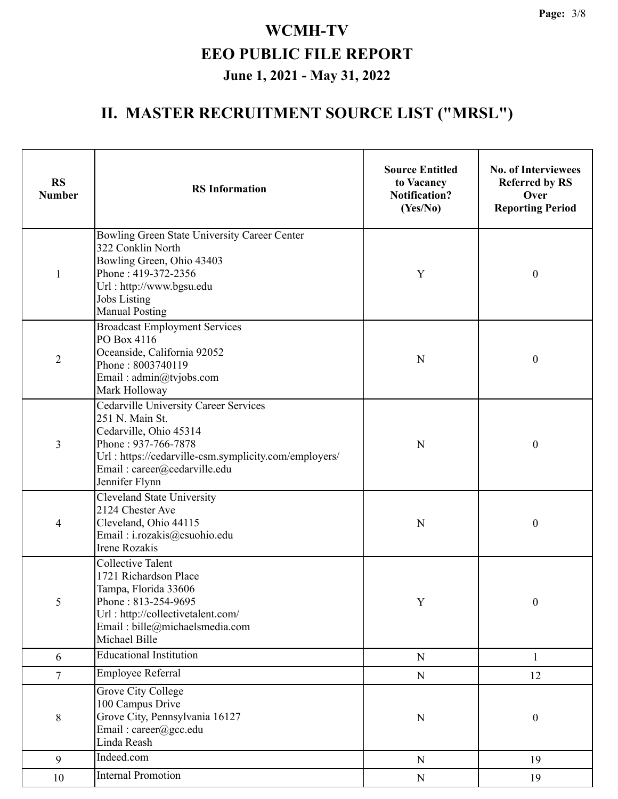| <b>RS</b><br><b>Number</b> | <b>RS</b> Information                                                                                                                                                                                                       | <b>Source Entitled</b><br>to Vacancy<br><b>Notification?</b><br>(Yes/No) | <b>No. of Interviewees</b><br><b>Referred by RS</b><br>Over<br><b>Reporting Period</b> |
|----------------------------|-----------------------------------------------------------------------------------------------------------------------------------------------------------------------------------------------------------------------------|--------------------------------------------------------------------------|----------------------------------------------------------------------------------------|
| $\mathbf{1}$               | Bowling Green State University Career Center<br>322 Conklin North<br>Bowling Green, Ohio 43403<br>Phone: 419-372-2356<br>Url: http://www.bgsu.edu<br><b>Jobs Listing</b><br><b>Manual Posting</b>                           | Y                                                                        | $\boldsymbol{0}$                                                                       |
| $\overline{2}$             | <b>Broadcast Employment Services</b><br>PO Box 4116<br>Oceanside, California 92052<br>Phone: 8003740119<br>Email: admin@tvjobs.com<br>Mark Holloway                                                                         | N                                                                        | $\boldsymbol{0}$                                                                       |
| 3                          | <b>Cedarville University Career Services</b><br>251 N. Main St.<br>Cedarville, Ohio 45314<br>Phone: 937-766-7878<br>Url: https://cedarville-csm.symplicity.com/employers/<br>Email: career@cedarville.edu<br>Jennifer Flynn | N                                                                        | $\boldsymbol{0}$                                                                       |
| 4                          | <b>Cleveland State University</b><br>2124 Chester Ave<br>Cleveland, Ohio 44115<br>Email: i.rozakis@csuohio.edu<br><b>Irene Rozakis</b>                                                                                      | N                                                                        | $\boldsymbol{0}$                                                                       |
| 5                          | <b>Collective Talent</b><br>1721 Richardson Place<br>Tampa, Florida 33606<br>Phone: 813-254-9695<br>Url: http://collectivetalent.com/<br>Email: bille@michaelsmedia.com<br>Michael Bille                                    | Y                                                                        | $\boldsymbol{0}$                                                                       |
| 6                          | <b>Educational Institution</b>                                                                                                                                                                                              | ${\bf N}$                                                                | $\mathbf{1}$                                                                           |
| $\overline{7}$             | <b>Employee Referral</b>                                                                                                                                                                                                    | ${\bf N}$                                                                | 12                                                                                     |
| $8\,$                      | Grove City College<br>100 Campus Drive<br>Grove City, Pennsylvania 16127<br>Email: career@gcc.edu<br>Linda Reash                                                                                                            | ${\bf N}$                                                                | $\boldsymbol{0}$                                                                       |
| 9                          | Indeed.com                                                                                                                                                                                                                  | ${\bf N}$                                                                | 19                                                                                     |
| 10                         | <b>Internal Promotion</b>                                                                                                                                                                                                   | ${\bf N}$                                                                | 19                                                                                     |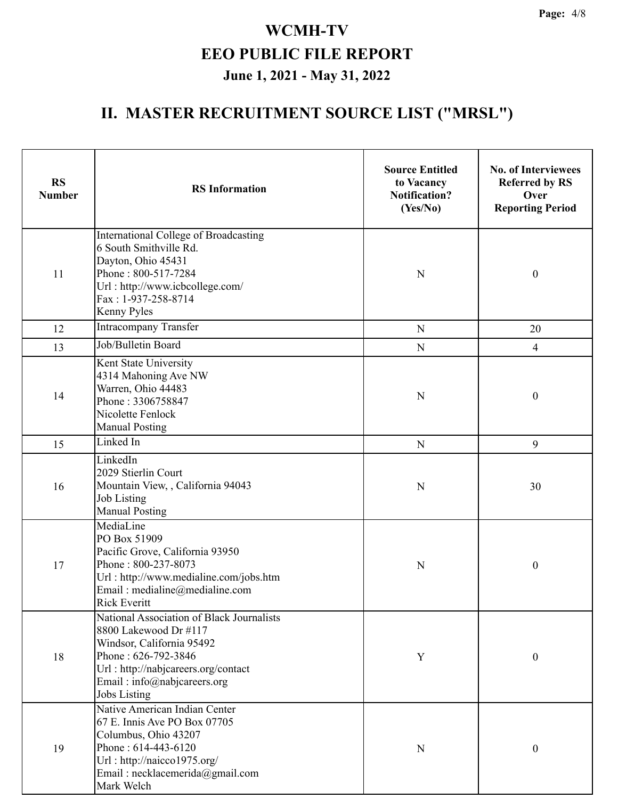| <b>RS</b><br><b>Number</b> | <b>RS</b> Information                                                                                                                                                                                               | <b>Source Entitled</b><br>to Vacancy<br><b>Notification?</b><br>(Yes/No) | <b>No. of Interviewees</b><br><b>Referred by RS</b><br>Over<br><b>Reporting Period</b> |
|----------------------------|---------------------------------------------------------------------------------------------------------------------------------------------------------------------------------------------------------------------|--------------------------------------------------------------------------|----------------------------------------------------------------------------------------|
| 11                         | International College of Broadcasting<br>6 South Smithville Rd.<br>Dayton, Ohio 45431<br>Phone: 800-517-7284<br>Url: http://www.icbcollege.com/<br>Fax: 1-937-258-8714<br>Kenny Pyles                               | $\mathbf N$                                                              | $\boldsymbol{0}$                                                                       |
| 12                         | <b>Intracompany Transfer</b>                                                                                                                                                                                        | ${\bf N}$                                                                | 20                                                                                     |
| 13                         | Job/Bulletin Board                                                                                                                                                                                                  | $\mathbf N$                                                              | $\overline{4}$                                                                         |
| 14                         | Kent State University<br>4314 Mahoning Ave NW<br>Warren, Ohio 44483<br>Phone: 3306758847<br>Nicolette Fenlock<br><b>Manual Posting</b>                                                                              | $\mathbf N$                                                              | $\boldsymbol{0}$                                                                       |
| 15                         | Linked In                                                                                                                                                                                                           | N                                                                        | 9                                                                                      |
| 16                         | LinkedIn<br>2029 Stierlin Court<br>Mountain View,, California 94043<br>Job Listing<br><b>Manual Posting</b>                                                                                                         | $\mathbf N$                                                              | 30                                                                                     |
| 17                         | MediaLine<br>PO Box 51909<br>Pacific Grove, California 93950<br>Phone: 800-237-8073<br>Url: http://www.medialine.com/jobs.htm<br>Email: medialine@medialine.com<br><b>Rick Everitt</b>                              | $\mathbf N$                                                              | $\boldsymbol{0}$                                                                       |
| 18                         | National Association of Black Journalists<br>8800 Lakewood Dr #117<br>Windsor, California 95492<br>Phone: 626-792-3846<br>Url: http://nabjcareers.org/contact<br>Email: info@nabjcareers.org<br><b>Jobs Listing</b> | Y                                                                        | $\boldsymbol{0}$                                                                       |
| 19                         | Native American Indian Center<br>67 E. Innis Ave PO Box 07705<br>Columbus, Ohio 43207<br>Phone: 614-443-6120<br>Url: http://naicco1975.org/<br>Email: necklacemerida@gmail.com<br>Mark Welch                        | N                                                                        | $\boldsymbol{0}$                                                                       |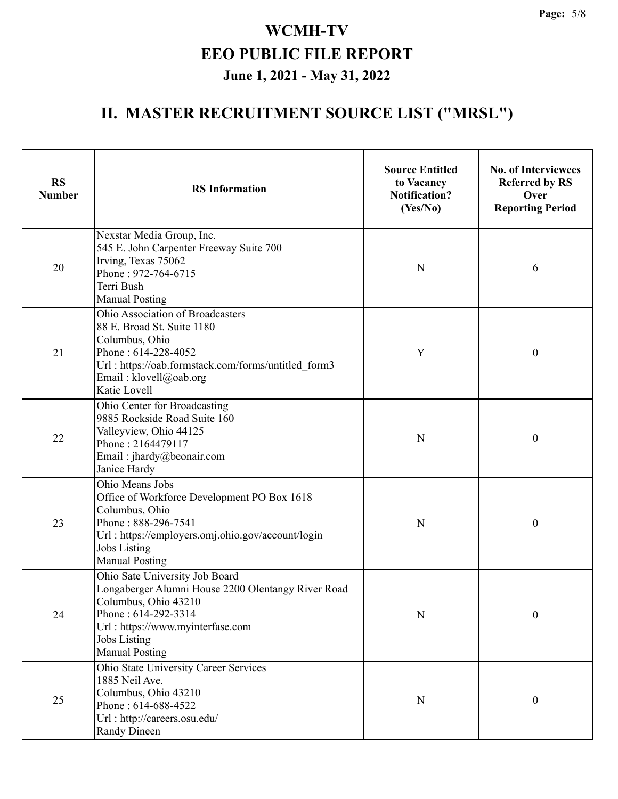| <b>RS</b><br><b>Number</b> | <b>RS</b> Information                                                                                                                                                                                                   | <b>Source Entitled</b><br>to Vacancy<br><b>Notification?</b><br>(Yes/No) | <b>No. of Interviewees</b><br><b>Referred by RS</b><br>Over<br><b>Reporting Period</b> |
|----------------------------|-------------------------------------------------------------------------------------------------------------------------------------------------------------------------------------------------------------------------|--------------------------------------------------------------------------|----------------------------------------------------------------------------------------|
| 20                         | Nexstar Media Group, Inc.<br>545 E. John Carpenter Freeway Suite 700<br>Irving, Texas 75062<br>Phone: 972-764-6715<br>Terri Bush<br><b>Manual Posting</b>                                                               | N                                                                        | 6                                                                                      |
| 21                         | Ohio Association of Broadcasters<br>88 E. Broad St. Suite 1180<br>Columbus, Ohio<br>Phone: 614-228-4052<br>Url: https://oab.formstack.com/forms/untitled form3<br>Email: klovell@oab.org<br>Katie Lovell                | Y                                                                        | $\boldsymbol{0}$                                                                       |
| 22                         | Ohio Center for Broadcasting<br>9885 Rockside Road Suite 160<br>Valleyview, Ohio 44125<br>Phone: 2164479117<br>Email: jhardy@beonair.com<br>Janice Hardy                                                                | $\mathbf N$                                                              | $\boldsymbol{0}$                                                                       |
| 23                         | Ohio Means Jobs<br>Office of Workforce Development PO Box 1618<br>Columbus, Ohio<br>Phone: 888-296-7541<br>Url: https://employers.omj.ohio.gov/account/login<br><b>Jobs Listing</b><br><b>Manual Posting</b>            | N                                                                        | $\boldsymbol{0}$                                                                       |
| 24                         | Ohio Sate University Job Board<br>Longaberger Alumni House 2200 Olentangy River Road<br>Columbus, Ohio 43210<br>Phone: 614-292-3314<br>Url: https://www.myinterfase.com<br><b>Jobs Listing</b><br><b>Manual Posting</b> | ${\bf N}$                                                                | $\boldsymbol{0}$                                                                       |
| 25                         | Ohio State University Career Services<br>1885 Neil Ave.<br>Columbus, Ohio 43210<br>Phone: 614-688-4522<br>Url: http://careers.osu.edu/<br><b>Randy Dineen</b>                                                           | ${\bf N}$                                                                | $\boldsymbol{0}$                                                                       |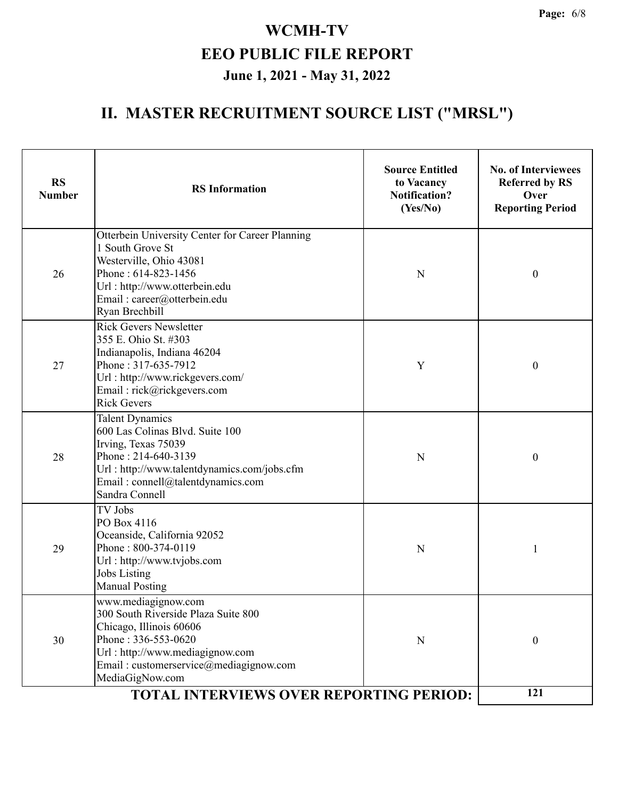| <b>RS</b><br><b>Number</b> | <b>RS</b> Information                                                                                                                                                                                                                                          | <b>Source Entitled</b><br>to Vacancy<br><b>Notification?</b><br>(Yes/No) | <b>No. of Interviewees</b><br><b>Referred by RS</b><br>Over<br><b>Reporting Period</b> |
|----------------------------|----------------------------------------------------------------------------------------------------------------------------------------------------------------------------------------------------------------------------------------------------------------|--------------------------------------------------------------------------|----------------------------------------------------------------------------------------|
| 26                         | Otterbein University Center for Career Planning<br>1 South Grove St<br>Westerville, Ohio 43081<br>Phone: 614-823-1456<br>Url: http://www.otterbein.edu<br>Email: career@otterbein.edu<br>Ryan Brechbill                                                        | N                                                                        | $\boldsymbol{0}$                                                                       |
| 27                         | <b>Rick Gevers Newsletter</b><br>355 E. Ohio St. #303<br>Indianapolis, Indiana 46204<br>Phone: 317-635-7912<br>Url: http://www.rickgevers.com/<br>Email: rick@rickgevers.com<br><b>Rick Gevers</b>                                                             | Y                                                                        | $\boldsymbol{0}$                                                                       |
| 28                         | <b>Talent Dynamics</b><br>600 Las Colinas Blvd. Suite 100<br>Irving, Texas 75039<br>Phone: 214-640-3139<br>Url: http://www.talentdynamics.com/jobs.cfm<br>Email: connell@talentdynamics.com<br>Sandra Connell                                                  | N                                                                        | $\boldsymbol{0}$                                                                       |
| 29                         | TV Jobs<br>PO Box 4116<br>Oceanside, California 92052<br>Phone: 800-374-0119<br>Url: http://www.tvjobs.com<br><b>Jobs Listing</b><br><b>Manual Posting</b>                                                                                                     | $\mathbf N$                                                              | 1                                                                                      |
| 30                         | www.mediagignow.com<br>300 South Riverside Plaza Suite 800<br>Chicago, Illinois 60606<br>Phone: 336-553-0620<br>Url: http://www.mediagignow.com<br>Email: customerservice@mediagignow.com<br>MediaGigNow.com<br><b>TOTAL INTERVIEWS OVER REPORTING PERIOD:</b> | N                                                                        | $\boldsymbol{0}$                                                                       |
|                            | 121                                                                                                                                                                                                                                                            |                                                                          |                                                                                        |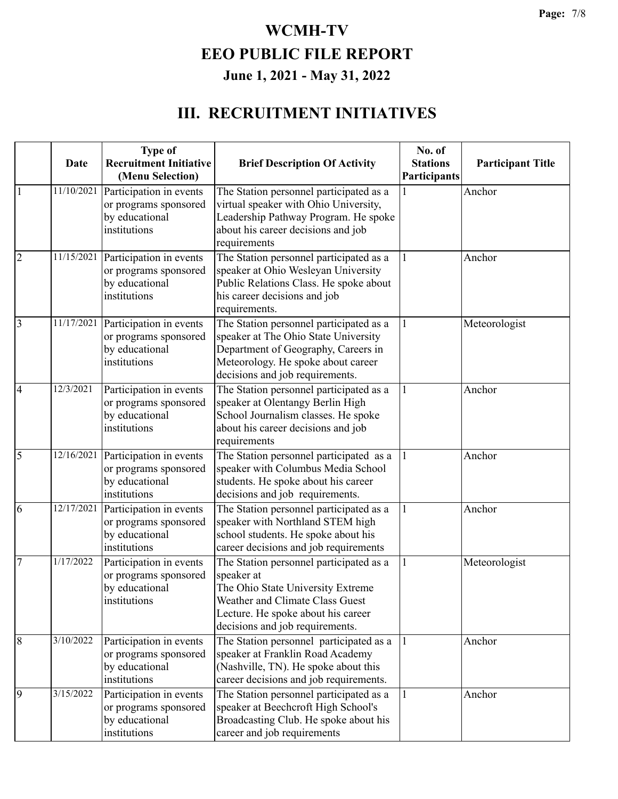#### **III. RECRUITMENT INITIATIVES**

|                 | Date       | <b>Type of</b><br><b>Recruitment Initiative</b><br>(Menu Selection)                | <b>Brief Description Of Activity</b>                                                                                                                                                                   | No. of<br><b>Stations</b><br>Participants | <b>Participant Title</b> |
|-----------------|------------|------------------------------------------------------------------------------------|--------------------------------------------------------------------------------------------------------------------------------------------------------------------------------------------------------|-------------------------------------------|--------------------------|
|                 | 11/10/2021 | Participation in events<br>or programs sponsored<br>by educational<br>institutions | The Station personnel participated as a<br>virtual speaker with Ohio University,<br>Leadership Pathway Program. He spoke<br>about his career decisions and job<br>requirements                         |                                           | Anchor                   |
| $\overline{2}$  | 11/15/2021 | Participation in events<br>or programs sponsored<br>by educational<br>institutions | The Station personnel participated as a<br>speaker at Ohio Wesleyan University<br>Public Relations Class. He spoke about<br>his career decisions and job<br>requirements.                              |                                           | Anchor                   |
| $\overline{3}$  | 11/17/2021 | Participation in events<br>or programs sponsored<br>by educational<br>institutions | The Station personnel participated as a<br>speaker at The Ohio State University<br>Department of Geography, Careers in<br>Meteorology. He spoke about career<br>decisions and job requirements.        |                                           | Meteorologist            |
| $\overline{4}$  | 12/3/2021  | Participation in events<br>or programs sponsored<br>by educational<br>institutions | The Station personnel participated as a<br>speaker at Olentangy Berlin High<br>School Journalism classes. He spoke<br>about his career decisions and job<br>requirements                               |                                           | Anchor                   |
| $\overline{5}$  | 12/16/2021 | Participation in events<br>or programs sponsored<br>by educational<br>institutions | The Station personnel participated as a<br>speaker with Columbus Media School<br>students. He spoke about his career<br>decisions and job requirements.                                                | 1                                         | Anchor                   |
| 6               | 12/17/2021 | Participation in events<br>or programs sponsored<br>by educational<br>institutions | The Station personnel participated as a<br>speaker with Northland STEM high<br>school students. He spoke about his<br>career decisions and job requirements                                            |                                           | Anchor                   |
| $7\phantom{.0}$ | 1/17/2022  | Participation in events<br>or programs sponsored<br>by educational<br>institutions | The Station personnel participated as a<br>speaker at<br>The Ohio State University Extreme<br>Weather and Climate Class Guest<br>Lecture. He spoke about his career<br>decisions and job requirements. |                                           | Meteorologist            |
| 8               | 3/10/2022  | Participation in events<br>or programs sponsored<br>by educational<br>institutions | The Station personnel participated as a<br>speaker at Franklin Road Academy<br>(Nashville, TN). He spoke about this<br>career decisions and job requirements.                                          |                                           | Anchor                   |
| 9               | 3/15/2022  | Participation in events<br>or programs sponsored<br>by educational<br>institutions | The Station personnel participated as a<br>speaker at Beechcroft High School's<br>Broadcasting Club. He spoke about his<br>career and job requirements                                                 |                                           | Anchor                   |